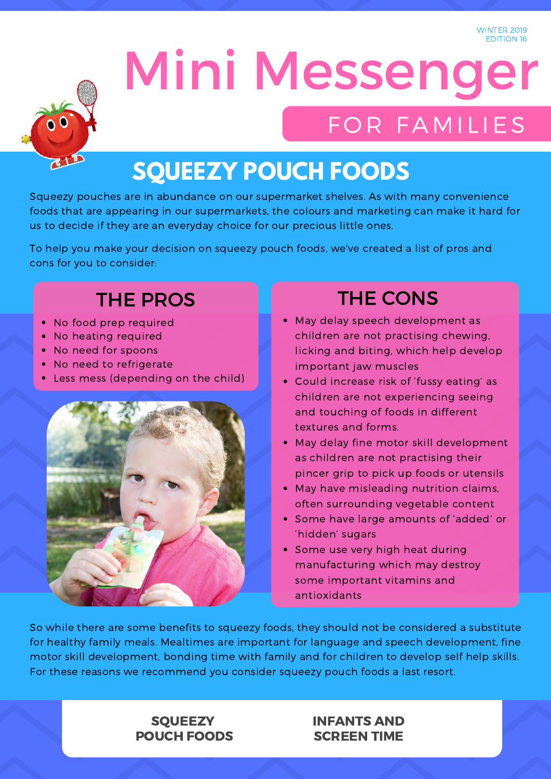

# Mini Messenger FOR FAMILIES

## **SQUEEZY POUCH FOODS**

Squeezy pouches are in abundance on our supermarket shelves. As with many convenience foods that are appearing in our supermarkets, the colours and marketing can make it hard for us to decide if they are an everyday choice for our precious little ones.

To help you make your decision on squeezy pouch foods, we've created a list of pros and cons for you to consider:

### THE PROS THE CONS

- No food prep required
- No heating required
- No need for spoons
- No need to refrigerate
- Less mess (depending on the child)



- May delay speech development as children are not practising chewing, licking and biting, which help develop important jaw muscles
- Could increase risk of 'fussy eating' as children are not experiencing seeing and touching of foods in different textures and forms.
- May delay fine motor skill development as children are not practising their pincer grip to pick up foods or utensils
- May have misleading nutrition claims, often surrounding vegetable content
- Some have large amounts of 'added' or 'hidden' sugars
- Some use very high heat during manufacturing which may destroy some important vitamins and antioxidants

So while there are some benefits to squeezy foods, they should not be considered a substitute for healthy family meals. Mealtimes are important for language and speech development, fine motor skill development, bonding time with family and for children to develop self help skills. For these reasons we recommend you consider squeezy pouch foods a last resort.

### **SQUEEZY** POUCH FOODS

### INFANTS AND SCREEN TIME